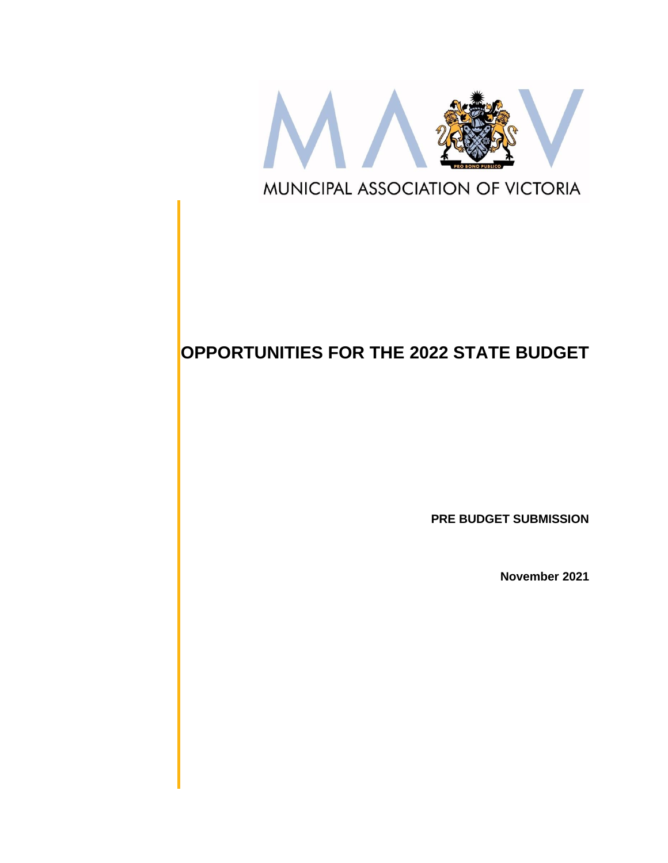

# **OPPORTUNITIES FOR THE 2022 STATE BUDGET**

**PRE BUDGET SUBMISSION**

**November 2021**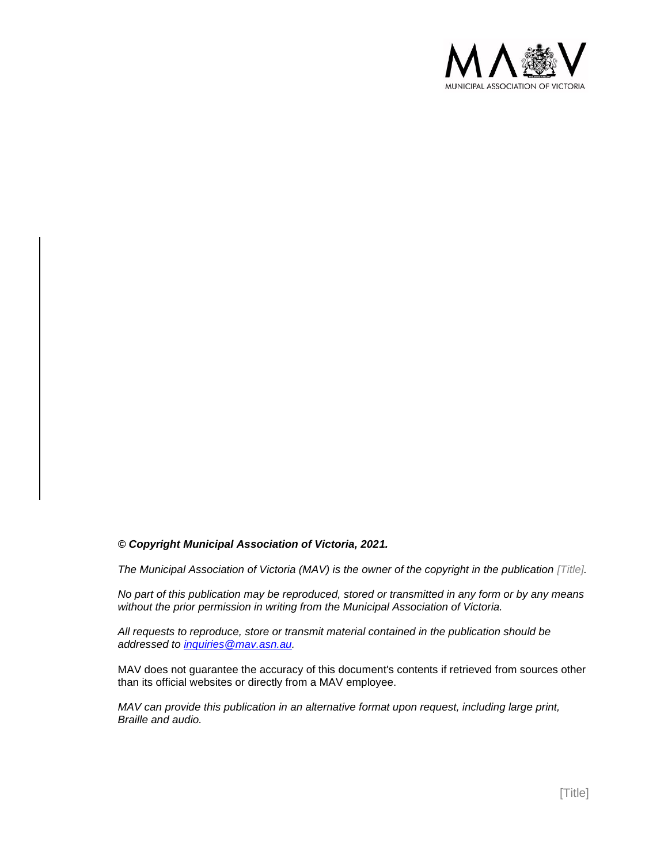

#### *© Copyright Municipal Association of Victoria, 2021.*

*The Municipal Association of Victoria (MAV) is the owner of the copyright in the publication [Title].* 

*No part of this publication may be reproduced, stored or transmitted in any form or by any means without the prior permission in writing from the Municipal Association of Victoria.* 

*All requests to reproduce, store or transmit material contained in the publication should be addressed to inquiries@mav.asn.au.* 

MAV does not guarantee the accuracy of this document's contents if retrieved from sources other than its official websites or directly from a MAV employee.

*MAV can provide this publication in an alternative format upon request, including large print, Braille and audio.*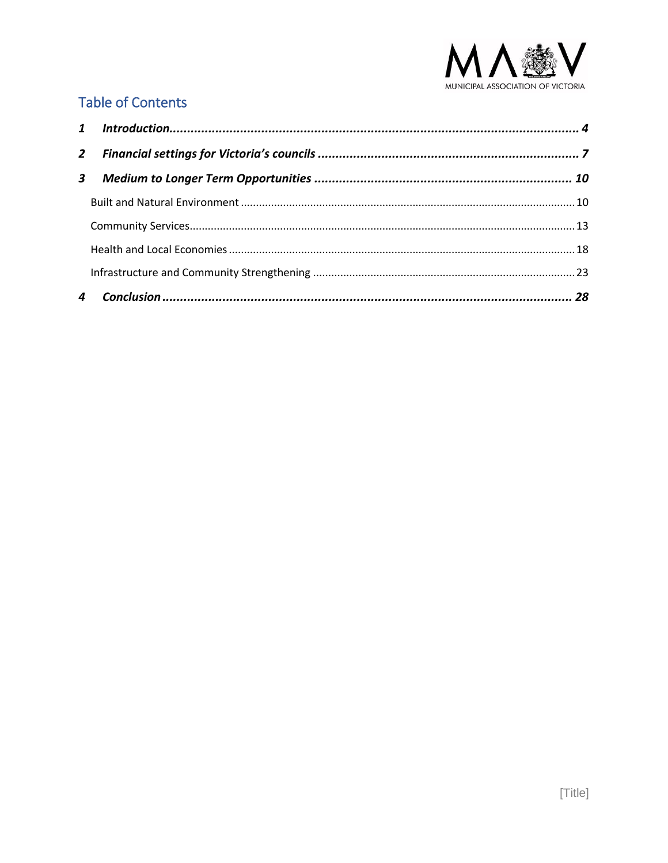

### **Table of Contents**

| $\overline{2}$ |  |
|----------------|--|
| 3              |  |
|                |  |
|                |  |
|                |  |
|                |  |
|                |  |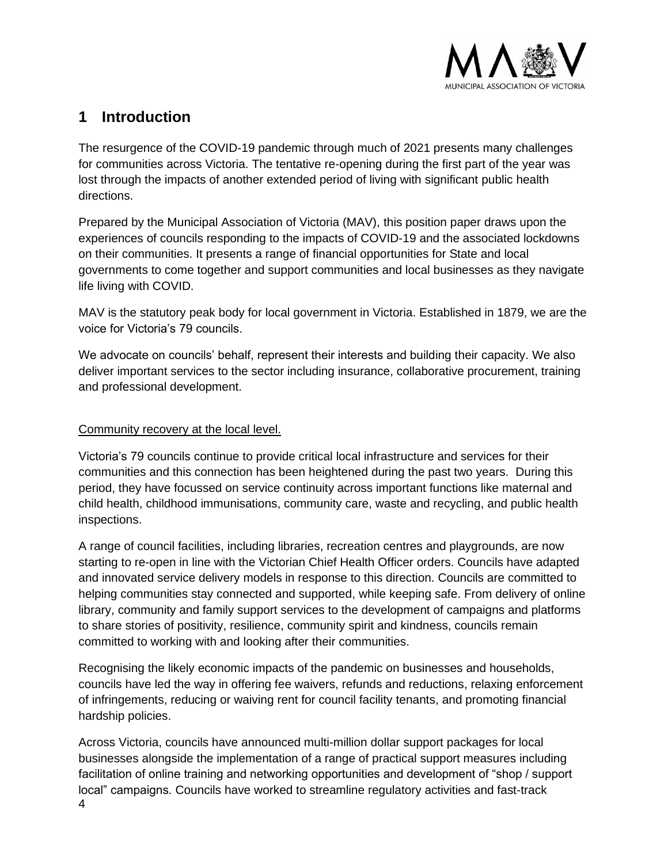

### <span id="page-3-0"></span>**1 Introduction**

The resurgence of the COVID-19 pandemic through much of 2021 presents many challenges for communities across Victoria. The tentative re-opening during the first part of the year was lost through the impacts of another extended period of living with significant public health directions.

Prepared by the Municipal Association of Victoria (MAV), this position paper draws upon the experiences of councils responding to the impacts of COVID-19 and the associated lockdowns on their communities. It presents a range of financial opportunities for State and local governments to come together and support communities and local businesses as they navigate life living with COVID.

MAV is the statutory peak body for local government in Victoria. Established in 1879, we are the voice for Victoria's 79 councils.

We advocate on councils' behalf, represent their interests and building their capacity. We also deliver important services to the sector including insurance, collaborative procurement, training and professional development.

#### Community recovery at the local level.

Victoria's 79 councils continue to provide critical local infrastructure and services for their communities and this connection has been heightened during the past two years. During this period, they have focussed on service continuity across important functions like maternal and child health, childhood immunisations, community care, waste and recycling, and public health inspections.

A range of council facilities, including libraries, recreation centres and playgrounds, are now starting to re-open in line with the Victorian Chief Health Officer orders. Councils have adapted and innovated service delivery models in response to this direction. Councils are committed to helping communities stay connected and supported, while keeping safe. From delivery of online library, community and family support services to the development of campaigns and platforms to share stories of positivity, resilience, community spirit and kindness, councils remain committed to working with and looking after their communities.

Recognising the likely economic impacts of the pandemic on businesses and households, councils have led the way in offering fee waivers, refunds and reductions, relaxing enforcement of infringements, reducing or waiving rent for council facility tenants, and promoting financial hardship policies.

4 Across Victoria, councils have announced multi-million dollar support packages for local businesses alongside the implementation of a range of practical support measures including facilitation of online training and networking opportunities and development of "shop / support local" campaigns. Councils have worked to streamline regulatory activities and fast-track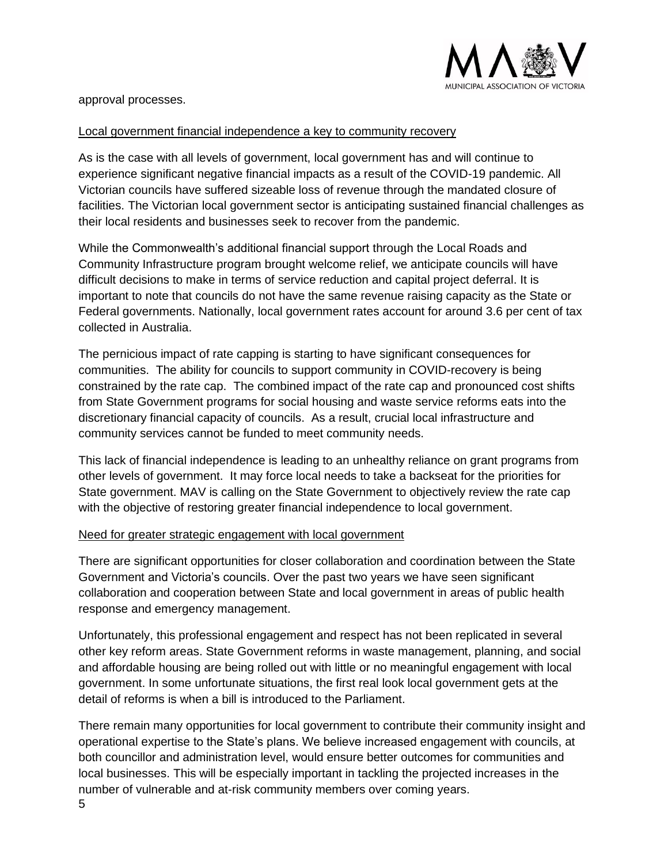

approval processes.

#### Local government financial independence a key to community recovery

As is the case with all levels of government, local government has and will continue to experience significant negative financial impacts as a result of the COVID-19 pandemic. All Victorian councils have suffered sizeable loss of revenue through the mandated closure of facilities. The Victorian local government sector is anticipating sustained financial challenges as their local residents and businesses seek to recover from the pandemic.

While the Commonwealth's additional financial support through the Local Roads and Community Infrastructure program brought welcome relief, we anticipate councils will have difficult decisions to make in terms of service reduction and capital project deferral. It is important to note that councils do not have the same revenue raising capacity as the State or Federal governments. Nationally, local government rates account for around 3.6 per cent of tax collected in Australia.

The pernicious impact of rate capping is starting to have significant consequences for communities. The ability for councils to support community in COVID-recovery is being constrained by the rate cap. The combined impact of the rate cap and pronounced cost shifts from State Government programs for social housing and waste service reforms eats into the discretionary financial capacity of councils. As a result, crucial local infrastructure and community services cannot be funded to meet community needs.

This lack of financial independence is leading to an unhealthy reliance on grant programs from other levels of government. It may force local needs to take a backseat for the priorities for State government. MAV is calling on the State Government to objectively review the rate cap with the objective of restoring greater financial independence to local government.

#### Need for greater strategic engagement with local government

There are significant opportunities for closer collaboration and coordination between the State Government and Victoria's councils. Over the past two years we have seen significant collaboration and cooperation between State and local government in areas of public health response and emergency management.

Unfortunately, this professional engagement and respect has not been replicated in several other key reform areas. State Government reforms in waste management, planning, and social and affordable housing are being rolled out with little or no meaningful engagement with local government. In some unfortunate situations, the first real look local government gets at the detail of reforms is when a bill is introduced to the Parliament.

 $5\,$ There remain many opportunities for local government to contribute their community insight and operational expertise to the State's plans. We believe increased engagement with councils, at both councillor and administration level, would ensure better outcomes for communities and local businesses. This will be especially important in tackling the projected increases in the number of vulnerable and at-risk community members over coming years.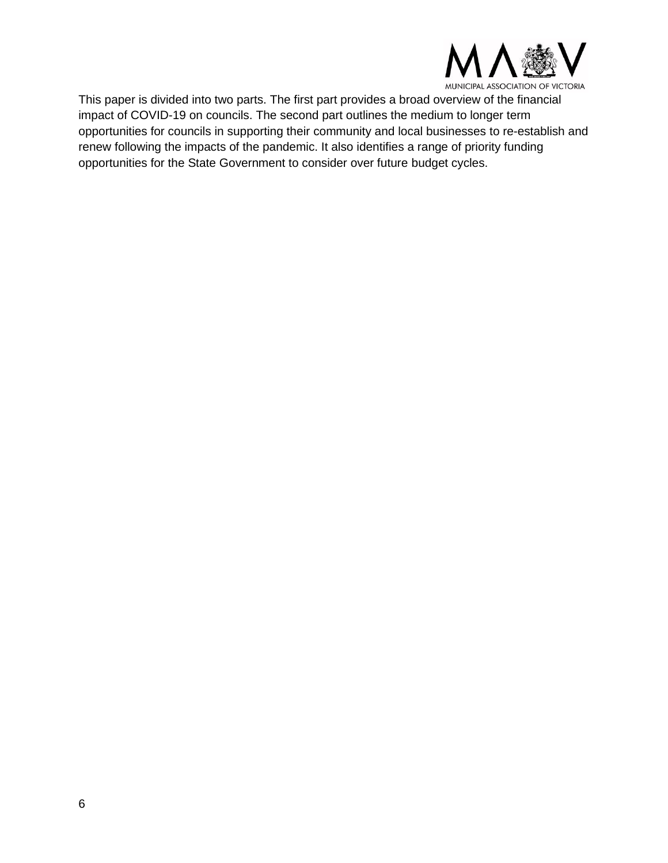

This paper is divided into two parts. The first part provides a broad overview of the financial impact of COVID-19 on councils. The second part outlines the medium to longer term opportunities for councils in supporting their community and local businesses to re-establish and renew following the impacts of the pandemic. It also identifies a range of priority funding opportunities for the State Government to consider over future budget cycles.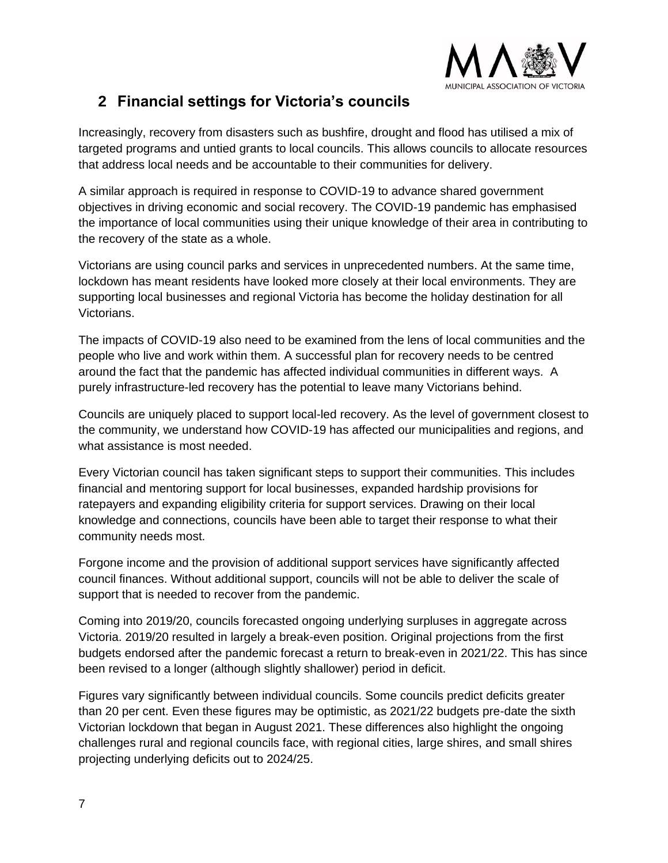

### <span id="page-6-0"></span>**2 Financial settings for Victoria's councils**

Increasingly, recovery from disasters such as bushfire, drought and flood has utilised a mix of targeted programs and untied grants to local councils. This allows councils to allocate resources that address local needs and be accountable to their communities for delivery.

A similar approach is required in response to COVID-19 to advance shared government objectives in driving economic and social recovery. The COVID-19 pandemic has emphasised the importance of local communities using their unique knowledge of their area in contributing to the recovery of the state as a whole.

Victorians are using council parks and services in unprecedented numbers. At the same time, lockdown has meant residents have looked more closely at their local environments. They are supporting local businesses and regional Victoria has become the holiday destination for all Victorians.

The impacts of COVID-19 also need to be examined from the lens of local communities and the people who live and work within them. A successful plan for recovery needs to be centred around the fact that the pandemic has affected individual communities in different ways. A purely infrastructure-led recovery has the potential to leave many Victorians behind.

Councils are uniquely placed to support local-led recovery. As the level of government closest to the community, we understand how COVID-19 has affected our municipalities and regions, and what assistance is most needed.

Every Victorian council has taken significant steps to support their communities. This includes financial and mentoring support for local businesses, expanded hardship provisions for ratepayers and expanding eligibility criteria for support services. Drawing on their local knowledge and connections, councils have been able to target their response to what their community needs most.

Forgone income and the provision of additional support services have significantly affected council finances. Without additional support, councils will not be able to deliver the scale of support that is needed to recover from the pandemic.

Coming into 2019/20, councils forecasted ongoing underlying surpluses in aggregate across Victoria. 2019/20 resulted in largely a break-even position. Original projections from the first budgets endorsed after the pandemic forecast a return to break-even in 2021/22. This has since been revised to a longer (although slightly shallower) period in deficit.

Figures vary significantly between individual councils. Some councils predict deficits greater than 20 per cent. Even these figures may be optimistic, as 2021/22 budgets pre-date the sixth Victorian lockdown that began in August 2021. These differences also highlight the ongoing challenges rural and regional councils face, with regional cities, large shires, and small shires projecting underlying deficits out to 2024/25.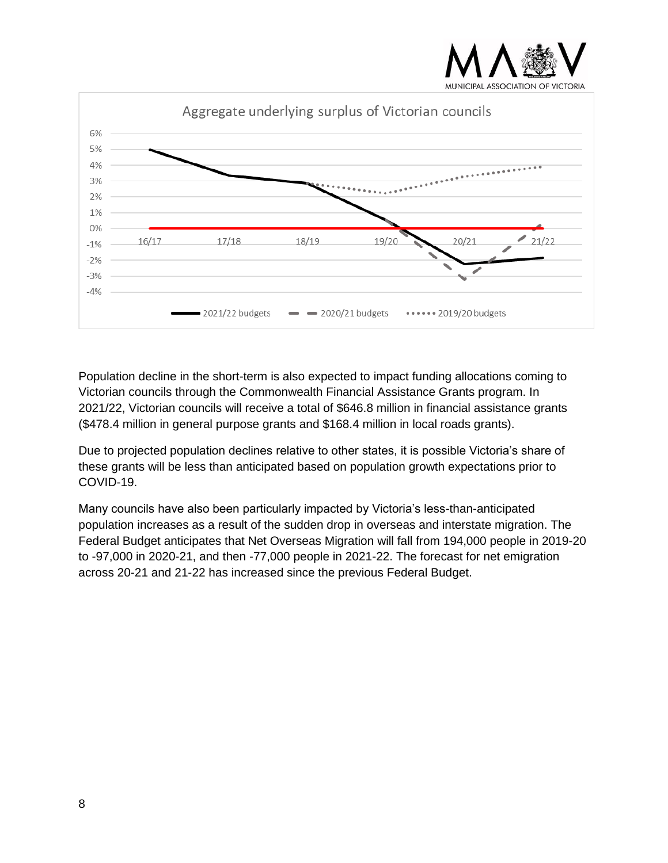



Population decline in the short-term is also expected to impact funding allocations coming to Victorian councils through the Commonwealth Financial Assistance Grants program. In 2021/22, Victorian councils will receive a total of \$646.8 million in financial assistance grants (\$478.4 million in general purpose grants and \$168.4 million in local roads grants).

Due to projected population declines relative to other states, it is possible Victoria's share of these grants will be less than anticipated based on population growth expectations prior to COVID-19.

Many councils have also been particularly impacted by Victoria's less-than-anticipated population increases as a result of the sudden drop in overseas and interstate migration. The Federal Budget anticipates that Net Overseas Migration will fall from 194,000 people in 2019-20 to -97,000 in 2020-21, and then -77,000 people in 2021-22. The forecast for net emigration across 20-21 and 21-22 has increased since the previous Federal Budget.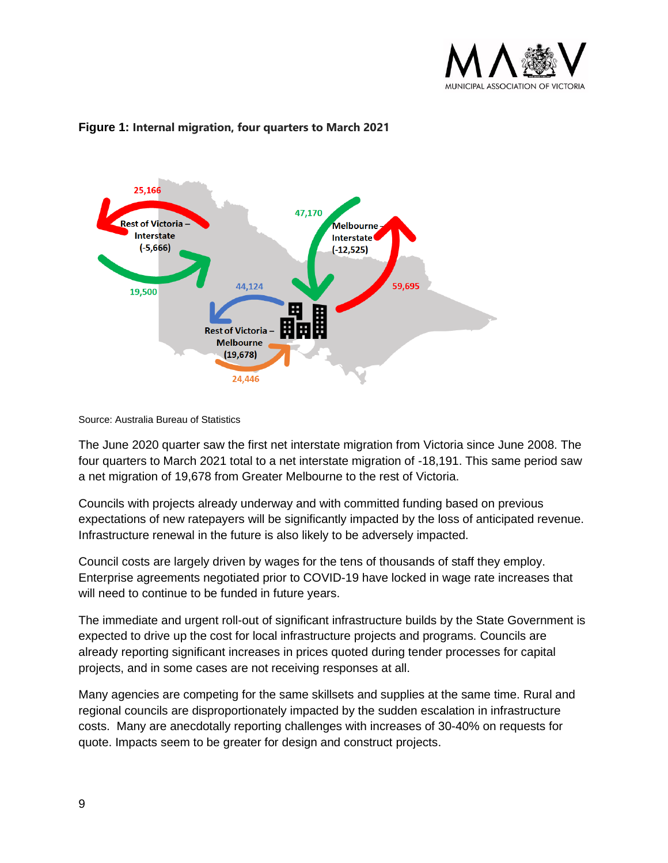



#### **Figure 1: Internal migration, four quarters to March 2021**

Source: Australia Bureau of Statistics

The June 2020 quarter saw the first net interstate migration from Victoria since June 2008. The four quarters to March 2021 total to a net interstate migration of -18,191. This same period saw a net migration of 19,678 from Greater Melbourne to the rest of Victoria.

Councils with projects already underway and with committed funding based on previous expectations of new ratepayers will be significantly impacted by the loss of anticipated revenue. Infrastructure renewal in the future is also likely to be adversely impacted.

Council costs are largely driven by wages for the tens of thousands of staff they employ. Enterprise agreements negotiated prior to COVID-19 have locked in wage rate increases that will need to continue to be funded in future years.

The immediate and urgent roll-out of significant infrastructure builds by the State Government is expected to drive up the cost for local infrastructure projects and programs. Councils are already reporting significant increases in prices quoted during tender processes for capital projects, and in some cases are not receiving responses at all.

Many agencies are competing for the same skillsets and supplies at the same time. Rural and regional councils are disproportionately impacted by the sudden escalation in infrastructure costs. Many are anecdotally reporting challenges with increases of 30-40% on requests for quote. Impacts seem to be greater for design and construct projects.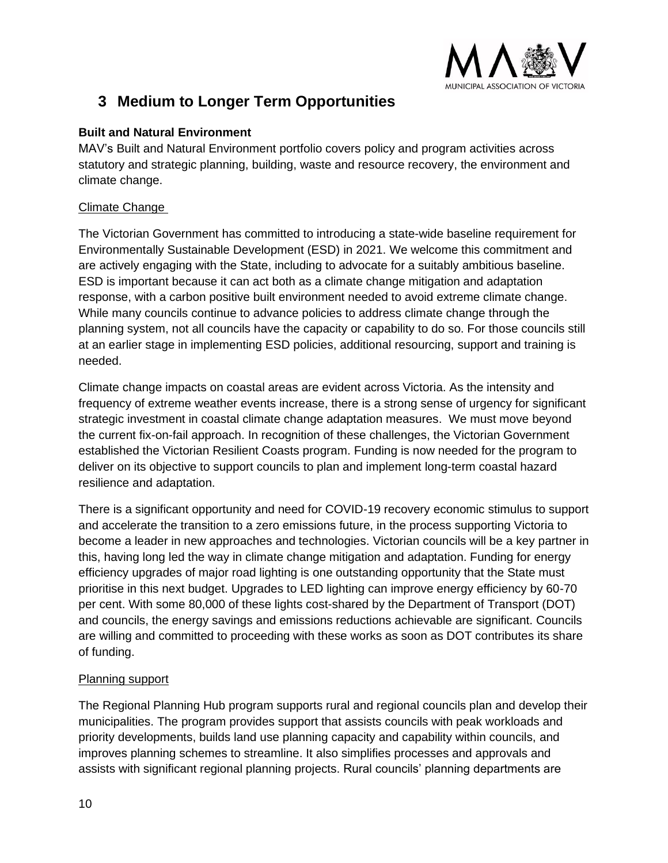

### <span id="page-9-0"></span>**3 Medium to Longer Term Opportunities**

#### <span id="page-9-1"></span>**Built and Natural Environment**

MAV's Built and Natural Environment portfolio covers policy and program activities across statutory and strategic planning, building, waste and resource recovery, the environment and climate change.

#### Climate Change

The Victorian Government has committed to introducing a state-wide baseline requirement for Environmentally Sustainable Development (ESD) in 2021. We welcome this commitment and are actively engaging with the State, including to advocate for a suitably ambitious baseline. ESD is important because it can act both as a climate change mitigation and adaptation response, with a carbon positive built environment needed to avoid extreme climate change. While many councils continue to advance policies to address climate change through the planning system, not all councils have the capacity or capability to do so. For those councils still at an earlier stage in implementing ESD policies, additional resourcing, support and training is needed.

Climate change impacts on coastal areas are evident across Victoria. As the intensity and frequency of extreme weather events increase, there is a strong sense of urgency for significant strategic investment in coastal climate change adaptation measures. We must move beyond the current fix-on-fail approach. In recognition of these challenges, the Victorian Government established the Victorian Resilient Coasts program. Funding is now needed for the program to deliver on its objective to support councils to plan and implement long-term coastal hazard resilience and adaptation.

There is a significant opportunity and need for COVID-19 recovery economic stimulus to support and accelerate the transition to a zero emissions future, in the process supporting Victoria to become a leader in new approaches and technologies. Victorian councils will be a key partner in this, having long led the way in climate change mitigation and adaptation. Funding for energy efficiency upgrades of major road lighting is one outstanding opportunity that the State must prioritise in this next budget. Upgrades to LED lighting can improve energy efficiency by 60-70 per cent. With some 80,000 of these lights cost-shared by the Department of Transport (DOT) and councils, the energy savings and emissions reductions achievable are significant. Councils are willing and committed to proceeding with these works as soon as DOT contributes its share of funding.

#### Planning support

The Regional Planning Hub program supports rural and regional councils plan and develop their municipalities. The program provides support that assists councils with peak workloads and priority developments, builds land use planning capacity and capability within councils, and improves planning schemes to streamline. It also simplifies processes and approvals and assists with significant regional planning projects. Rural councils' planning departments are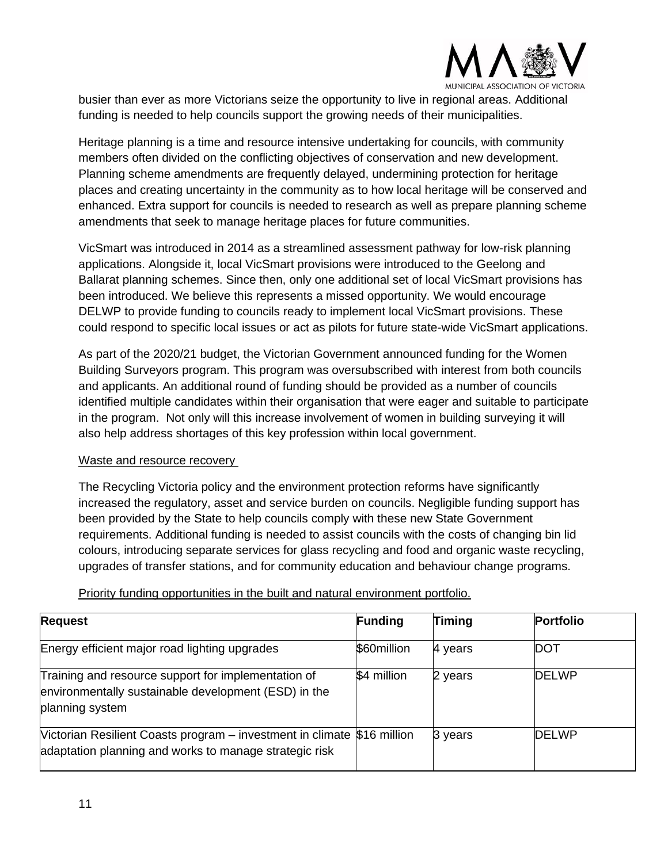

busier than ever as more Victorians seize the opportunity to live in regional areas. Additional funding is needed to help councils support the growing needs of their municipalities.

Heritage planning is a time and resource intensive undertaking for councils, with community members often divided on the conflicting objectives of conservation and new development. Planning scheme amendments are frequently delayed, undermining protection for heritage places and creating uncertainty in the community as to how local heritage will be conserved and enhanced. Extra support for councils is needed to research as well as prepare planning scheme amendments that seek to manage heritage places for future communities.

VicSmart was introduced in 2014 as a streamlined assessment pathway for low-risk planning applications. Alongside it, local VicSmart provisions were introduced to the Geelong and Ballarat planning schemes. Since then, only one additional set of local VicSmart provisions has been introduced. We believe this represents a missed opportunity. We would encourage DELWP to provide funding to councils ready to implement local VicSmart provisions. These could respond to specific local issues or act as pilots for future state-wide VicSmart applications.

As part of the 2020/21 budget, the Victorian Government announced funding for the Women Building Surveyors program. This program was oversubscribed with interest from both councils and applicants. An additional round of funding should be provided as a number of councils identified multiple candidates within their organisation that were eager and suitable to participate in the program. Not only will this increase involvement of women in building surveying it will also help address shortages of this key profession within local government.

#### Waste and resource recovery

The Recycling Victoria policy and the environment protection reforms have significantly increased the regulatory, asset and service burden on councils. Negligible funding support has been provided by the State to help councils comply with these new State Government requirements. Additional funding is needed to assist councils with the costs of changing bin lid colours, introducing separate services for glass recycling and food and organic waste recycling, upgrades of transfer stations, and for community education and behaviour change programs.

#### Priority funding opportunities in the built and natural environment portfolio.

| <b>Request</b>                                                                                                                    | Funding     | Timing  | <b>Portfolio</b> |
|-----------------------------------------------------------------------------------------------------------------------------------|-------------|---------|------------------|
| Energy efficient major road lighting upgrades                                                                                     | \$60million | 4 years | <b>DOT</b>       |
| Training and resource support for implementation of<br>environmentally sustainable development (ESD) in the<br>planning system    | \$4 million | 2 years | <b>DELWP</b>     |
| Mictorian Resilient Coasts program – investment in climate \$16 million<br>adaptation planning and works to manage strategic risk |             | 3 years | <b>DELWP</b>     |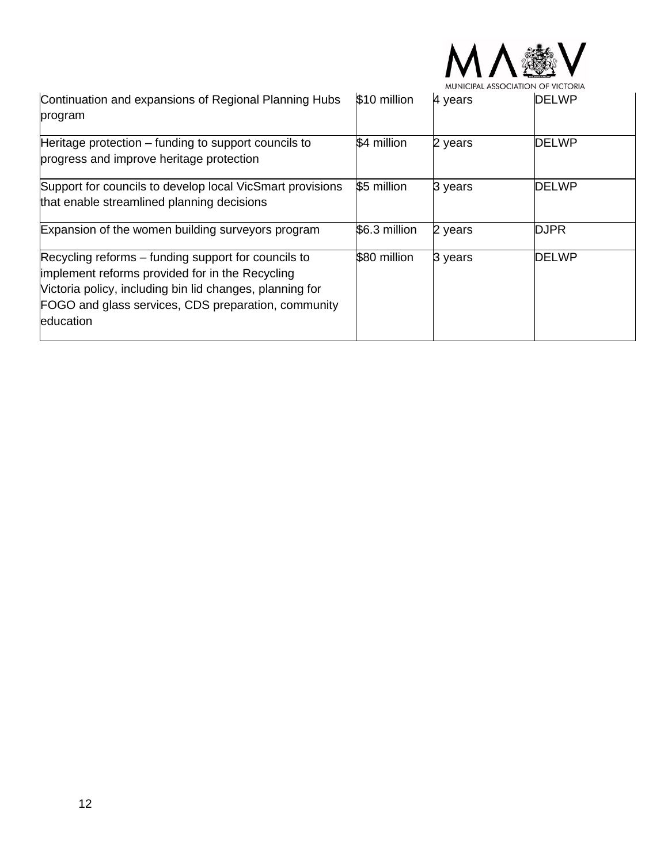

|                                                                                                                                                                                                                                        |               | MUNICIPAL ASSOCIATION OF VICTORIA |              |  |  |
|----------------------------------------------------------------------------------------------------------------------------------------------------------------------------------------------------------------------------------------|---------------|-----------------------------------|--------------|--|--|
| Continuation and expansions of Regional Planning Hubs<br>program                                                                                                                                                                       | \$10 million  | 4 years                           | <b>DELWP</b> |  |  |
| Heritage protection – funding to support councils to<br>progress and improve heritage protection                                                                                                                                       | \$4 million   | 2 years                           | <b>DELWP</b> |  |  |
| Support for councils to develop local VicSmart provisions<br>that enable streamlined planning decisions                                                                                                                                | \$5 million   | 3 years                           | <b>DELWP</b> |  |  |
| Expansion of the women building surveyors program                                                                                                                                                                                      | \$6.3 million | 2 years                           | <b>DJPR</b>  |  |  |
| Recycling reforms – funding support for councils to<br>implement reforms provided for in the Recycling<br>Victoria policy, including bin lid changes, planning for<br>FOGO and glass services, CDS preparation, community<br>education | \$80 million  | 3 years                           | <b>DELWP</b> |  |  |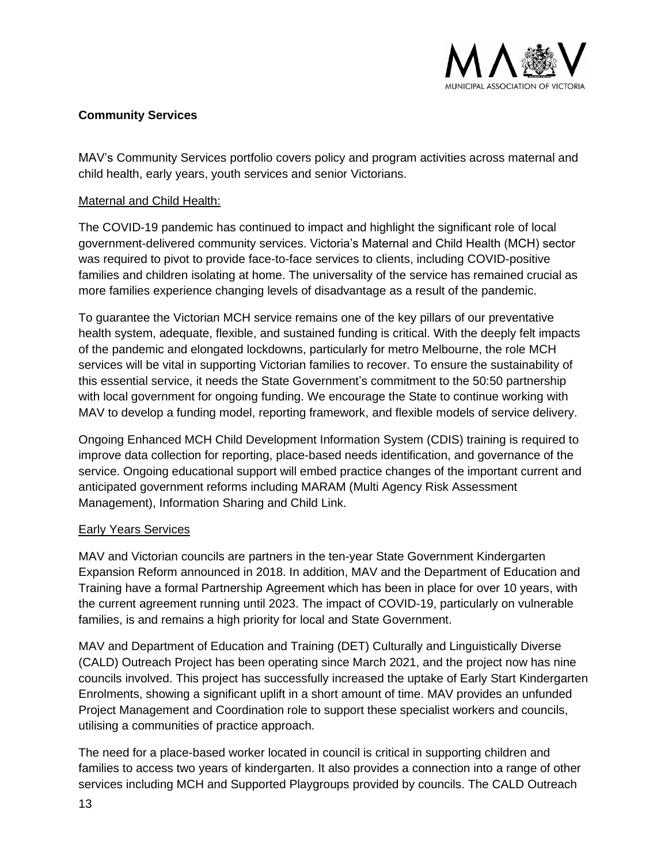

#### <span id="page-12-0"></span>**Community Services**

MAV's Community Services portfolio covers policy and program activities across maternal and child health, early years, youth services and senior Victorians.

#### Maternal and Child Health:

The COVID-19 pandemic has continued to impact and highlight the significant role of local government-delivered community services. Victoria's Maternal and Child Health (MCH) sector was required to pivot to provide face-to-face services to clients, including COVID-positive families and children isolating at home. The universality of the service has remained crucial as more families experience changing levels of disadvantage as a result of the pandemic.

To guarantee the Victorian MCH service remains one of the key pillars of our preventative health system, adequate, flexible, and sustained funding is critical. With the deeply felt impacts of the pandemic and elongated lockdowns, particularly for metro Melbourne, the role MCH services will be vital in supporting Victorian families to recover. To ensure the sustainability of this essential service, it needs the State Government's commitment to the 50:50 partnership with local government for ongoing funding. We encourage the State to continue working with MAV to develop a funding model, reporting framework, and flexible models of service delivery.

Ongoing Enhanced MCH Child Development Information System (CDIS) training is required to improve data collection for reporting, place-based needs identification, and governance of the service. Ongoing educational support will embed practice changes of the important current and anticipated government reforms including MARAM (Multi Agency Risk Assessment Management), Information Sharing and Child Link.

#### Early Years Services

MAV and Victorian councils are partners in the ten-year State Government Kindergarten Expansion Reform announced in 2018. In addition, MAV and the Department of Education and Training have a formal Partnership Agreement which has been in place for over 10 years, with the current agreement running until 2023. The impact of COVID-19, particularly on vulnerable families, is and remains a high priority for local and State Government.

MAV and Department of Education and Training (DET) Culturally and Linguistically Diverse (CALD) Outreach Project has been operating since March 2021, and the project now has nine councils involved. This project has successfully increased the uptake of Early Start Kindergarten Enrolments, showing a significant uplift in a short amount of time. MAV provides an unfunded Project Management and Coordination role to support these specialist workers and councils, utilising a communities of practice approach.

The need for a place-based worker located in council is critical in supporting children and families to access two years of kindergarten. It also provides a connection into a range of other services including MCH and Supported Playgroups provided by councils. The CALD Outreach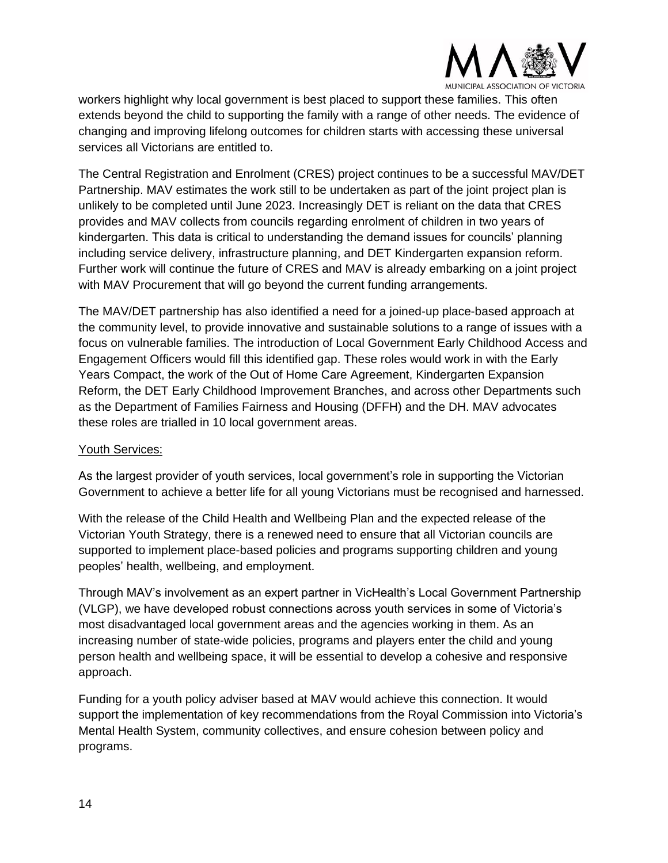

workers highlight why local government is best placed to support these families. This often extends beyond the child to supporting the family with a range of other needs. The evidence of changing and improving lifelong outcomes for children starts with accessing these universal services all Victorians are entitled to.

The Central Registration and Enrolment (CRES) project continues to be a successful MAV/DET Partnership. MAV estimates the work still to be undertaken as part of the joint project plan is unlikely to be completed until June 2023. Increasingly DET is reliant on the data that CRES provides and MAV collects from councils regarding enrolment of children in two years of kindergarten. This data is critical to understanding the demand issues for councils' planning including service delivery, infrastructure planning, and DET Kindergarten expansion reform. Further work will continue the future of CRES and MAV is already embarking on a joint project with MAV Procurement that will go beyond the current funding arrangements.

The MAV/DET partnership has also identified a need for a joined-up place-based approach at the community level, to provide innovative and sustainable solutions to a range of issues with a focus on vulnerable families. The introduction of Local Government Early Childhood Access and Engagement Officers would fill this identified gap. These roles would work in with the Early Years Compact, the work of the Out of Home Care Agreement, Kindergarten Expansion Reform, the DET Early Childhood Improvement Branches, and across other Departments such as the Department of Families Fairness and Housing (DFFH) and the DH. MAV advocates these roles are trialled in 10 local government areas.

#### Youth Services:

As the largest provider of youth services, local government's role in supporting the Victorian Government to achieve a better life for all young Victorians must be recognised and harnessed.

With the release of the Child Health and Wellbeing Plan and the expected release of the Victorian Youth Strategy, there is a renewed need to ensure that all Victorian councils are supported to implement place-based policies and programs supporting children and young peoples' health, wellbeing, and employment.

Through MAV's involvement as an expert partner in VicHealth's Local Government Partnership (VLGP), we have developed robust connections across youth services in some of Victoria's most disadvantaged local government areas and the agencies working in them. As an increasing number of state-wide policies, programs and players enter the child and young person health and wellbeing space, it will be essential to develop a cohesive and responsive approach.

Funding for a youth policy adviser based at MAV would achieve this connection. It would support the implementation of key recommendations from the Royal Commission into Victoria's Mental Health System, community collectives, and ensure cohesion between policy and programs.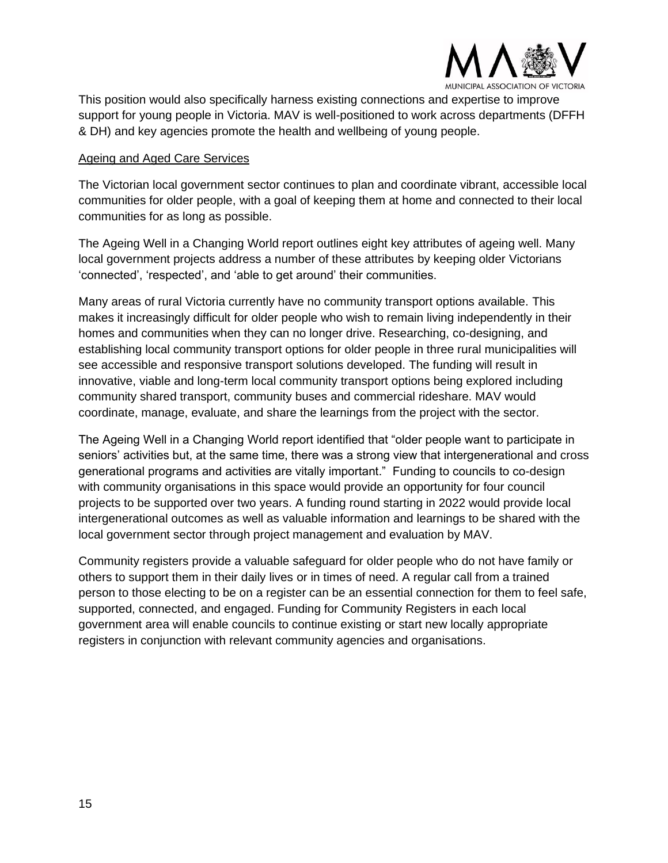

This position would also specifically harness existing connections and expertise to improve support for young people in Victoria. MAV is well-positioned to work across departments (DFFH & DH) and key agencies promote the health and wellbeing of young people.

#### Ageing and Aged Care Services

The Victorian local government sector continues to plan and coordinate vibrant, accessible local communities for older people, with a goal of keeping them at home and connected to their local communities for as long as possible.

The Ageing Well in a Changing World report outlines eight key attributes of ageing well. Many local government projects address a number of these attributes by keeping older Victorians 'connected', 'respected', and 'able to get around' their communities.

Many areas of rural Victoria currently have no community transport options available. This makes it increasingly difficult for older people who wish to remain living independently in their homes and communities when they can no longer drive. Researching, co-designing, and establishing local community transport options for older people in three rural municipalities will see accessible and responsive transport solutions developed. The funding will result in innovative, viable and long-term local community transport options being explored including community shared transport, community buses and commercial rideshare. MAV would coordinate, manage, evaluate, and share the learnings from the project with the sector.

The Ageing Well in a Changing World report identified that "older people want to participate in seniors' activities but, at the same time, there was a strong view that intergenerational and cross generational programs and activities are vitally important." Funding to councils to co-design with community organisations in this space would provide an opportunity for four council projects to be supported over two years. A funding round starting in 2022 would provide local intergenerational outcomes as well as valuable information and learnings to be shared with the local government sector through project management and evaluation by MAV.

Community registers provide a valuable safeguard for older people who do not have family or others to support them in their daily lives or in times of need. A regular call from a trained person to those electing to be on a register can be an essential connection for them to feel safe, supported, connected, and engaged. Funding for Community Registers in each local government area will enable councils to continue existing or start new locally appropriate registers in conjunction with relevant community agencies and organisations.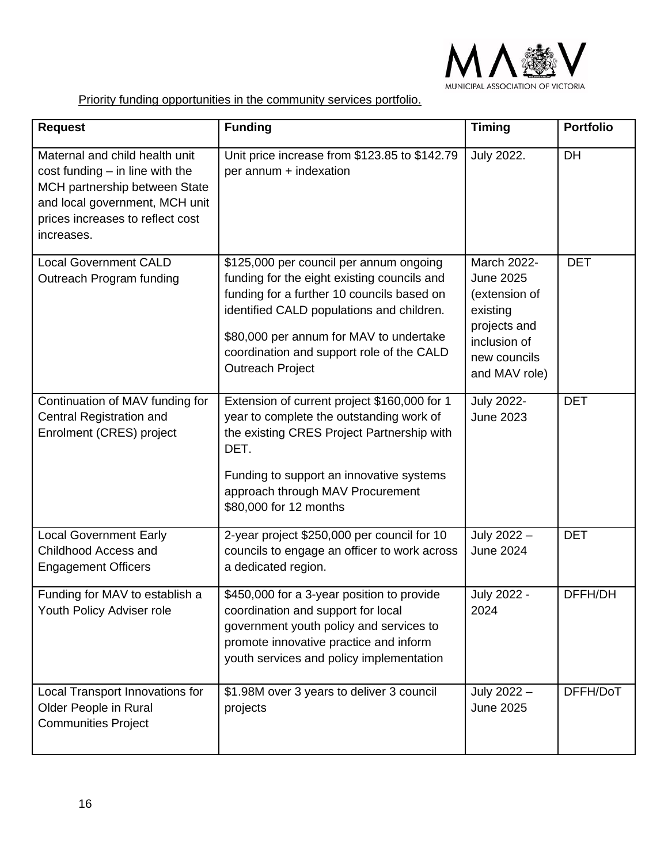

Priority funding opportunities in the community services portfolio.

| <b>Request</b>                                                                                                                                                                             | <b>Funding</b>                                                                                                                                                                                                                                                                                       | <b>Timing</b>                                                                                                                        | <b>Portfolio</b> |
|--------------------------------------------------------------------------------------------------------------------------------------------------------------------------------------------|------------------------------------------------------------------------------------------------------------------------------------------------------------------------------------------------------------------------------------------------------------------------------------------------------|--------------------------------------------------------------------------------------------------------------------------------------|------------------|
| Maternal and child health unit<br>$cost$ funding $-$ in line with the<br>MCH partnership between State<br>and local government, MCH unit<br>prices increases to reflect cost<br>increases. | Unit price increase from \$123.85 to \$142.79<br>per annum + indexation                                                                                                                                                                                                                              | <b>July 2022.</b>                                                                                                                    | DH               |
| <b>Local Government CALD</b><br>Outreach Program funding                                                                                                                                   | \$125,000 per council per annum ongoing<br>funding for the eight existing councils and<br>funding for a further 10 councils based on<br>identified CALD populations and children.<br>\$80,000 per annum for MAV to undertake<br>coordination and support role of the CALD<br><b>Outreach Project</b> | <b>March 2022-</b><br><b>June 2025</b><br>(extension of<br>existing<br>projects and<br>inclusion of<br>new councils<br>and MAV role) | <b>DET</b>       |
| Continuation of MAV funding for<br>Central Registration and<br>Enrolment (CRES) project                                                                                                    | Extension of current project \$160,000 for 1<br>year to complete the outstanding work of<br>the existing CRES Project Partnership with<br>DET.<br>Funding to support an innovative systems<br>approach through MAV Procurement<br>\$80,000 for 12 months                                             | <b>July 2022-</b><br><b>June 2023</b>                                                                                                | <b>DET</b>       |
| <b>Local Government Early</b><br>Childhood Access and<br><b>Engagement Officers</b>                                                                                                        | 2-year project \$250,000 per council for 10<br>councils to engage an officer to work across<br>a dedicated region.                                                                                                                                                                                   | July 2022 -<br><b>June 2024</b>                                                                                                      | <b>DET</b>       |
| Funding for MAV to establish a<br>Youth Policy Adviser role                                                                                                                                | \$450,000 for a 3-year position to provide<br>coordination and support for local<br>government youth policy and services to<br>promote innovative practice and inform<br>youth services and policy implementation                                                                                    | July 2022 -<br>2024                                                                                                                  | DFFH/DH          |
| Local Transport Innovations for<br>Older People in Rural<br><b>Communities Project</b>                                                                                                     | \$1.98M over 3 years to deliver 3 council<br>projects                                                                                                                                                                                                                                                | July 2022 -<br><b>June 2025</b>                                                                                                      | DFFH/DoT         |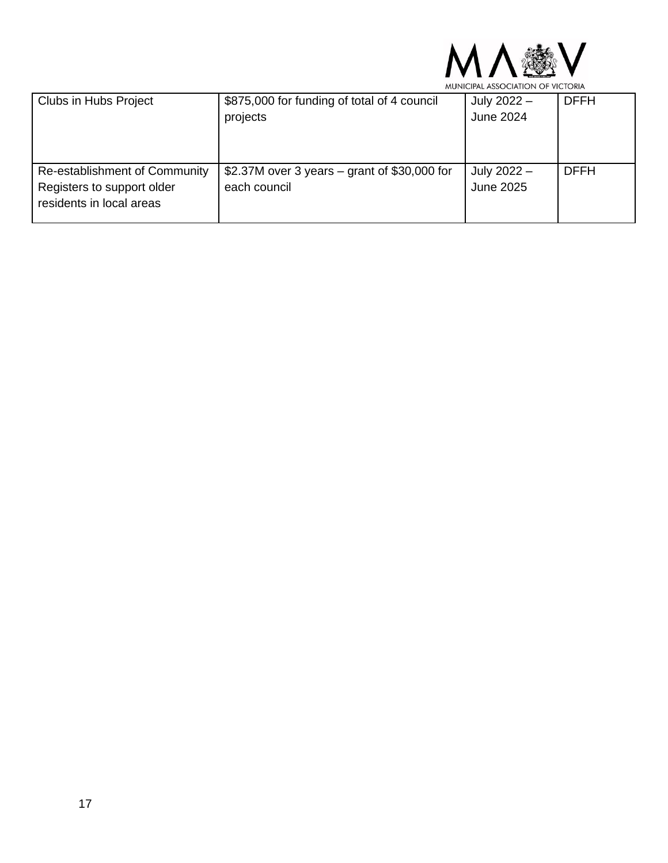

| Clubs in Hubs Project         | \$875,000 for funding of total of 4 council  | July 2022 - | <b>DFFH</b> |
|-------------------------------|----------------------------------------------|-------------|-------------|
|                               | projects                                     | June 2024   |             |
|                               |                                              |             |             |
|                               |                                              |             |             |
|                               |                                              |             |             |
| Re-establishment of Community | \$2.37M over 3 years – grant of \$30,000 for | July 2022 - | <b>DFFH</b> |
| Registers to support older    | each council                                 | June 2025   |             |
| residents in local areas      |                                              |             |             |
|                               |                                              |             |             |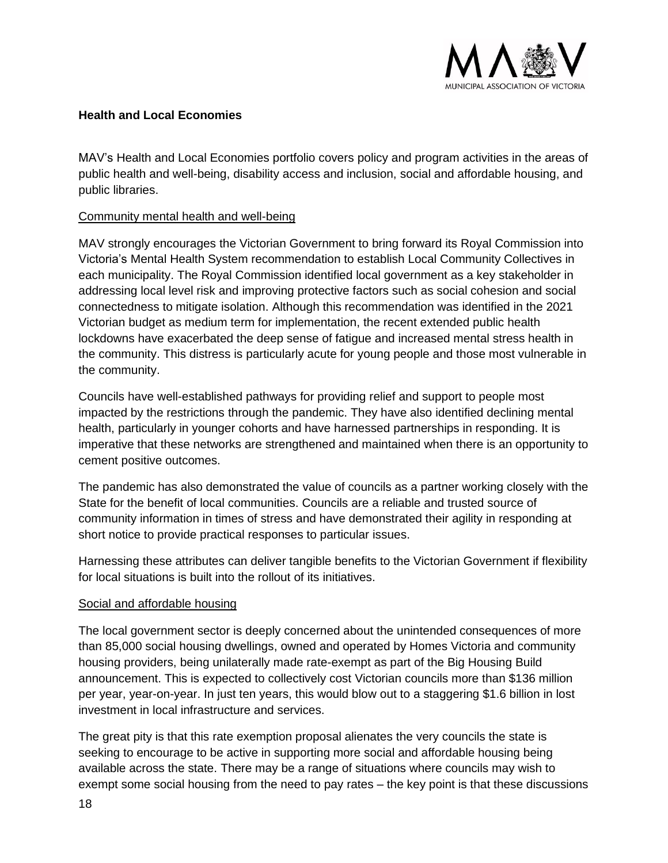

#### <span id="page-17-0"></span>**Health and Local Economies**

MAV's Health and Local Economies portfolio covers policy and program activities in the areas of public health and well-being, disability access and inclusion, social and affordable housing, and public libraries.

#### Community mental health and well-being

MAV strongly encourages the Victorian Government to bring forward its Royal Commission into Victoria's Mental Health System recommendation to establish Local Community Collectives in each municipality. The Royal Commission identified local government as a key stakeholder in addressing local level risk and improving protective factors such as social cohesion and social connectedness to mitigate isolation. Although this recommendation was identified in the 2021 Victorian budget as medium term for implementation, the recent extended public health lockdowns have exacerbated the deep sense of fatigue and increased mental stress health in the community. This distress is particularly acute for young people and those most vulnerable in the community.

Councils have well-established pathways for providing relief and support to people most impacted by the restrictions through the pandemic. They have also identified declining mental health, particularly in younger cohorts and have harnessed partnerships in responding. It is imperative that these networks are strengthened and maintained when there is an opportunity to cement positive outcomes.

The pandemic has also demonstrated the value of councils as a partner working closely with the State for the benefit of local communities. Councils are a reliable and trusted source of community information in times of stress and have demonstrated their agility in responding at short notice to provide practical responses to particular issues.

Harnessing these attributes can deliver tangible benefits to the Victorian Government if flexibility for local situations is built into the rollout of its initiatives.

#### Social and affordable housing

The local government sector is deeply concerned about the unintended consequences of more than 85,000 social housing dwellings, owned and operated by Homes Victoria and community housing providers, being unilaterally made rate-exempt as part of the Big Housing Build announcement. This is expected to collectively cost Victorian councils more than \$136 million per year, year-on-year. In just ten years, this would blow out to a staggering \$1.6 billion in lost investment in local infrastructure and services.

The great pity is that this rate exemption proposal alienates the very councils the state is seeking to encourage to be active in supporting more social and affordable housing being available across the state. There may be a range of situations where councils may wish to exempt some social housing from the need to pay rates – the key point is that these discussions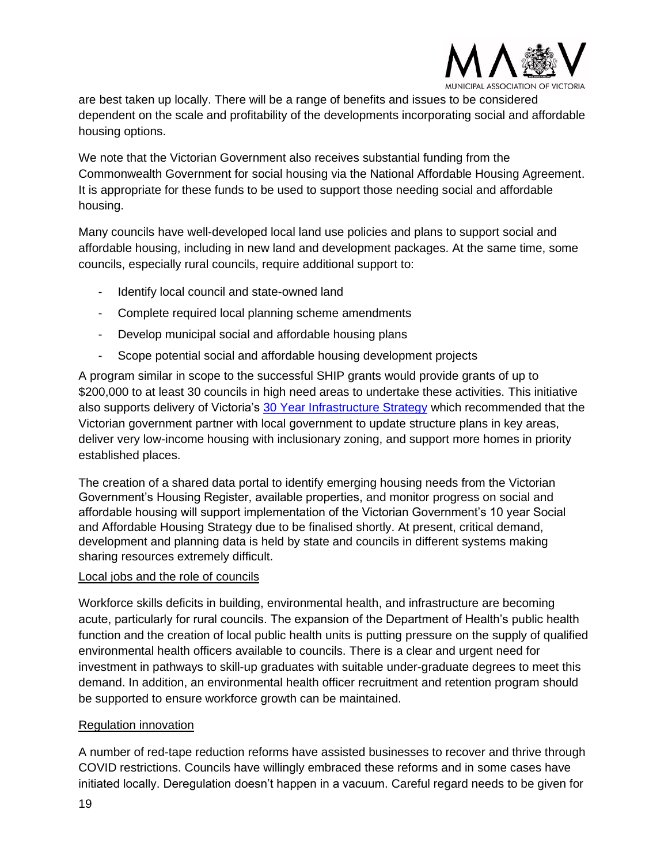

are best taken up locally. There will be a range of benefits and issues to be considered dependent on the scale and profitability of the developments incorporating social and affordable housing options.

We note that the Victorian Government also receives substantial funding from the Commonwealth Government for social housing via the National Affordable Housing Agreement. It is appropriate for these funds to be used to support those needing social and affordable housing.

Many councils have well-developed local land use policies and plans to support social and affordable housing, including in new land and development packages. At the same time, some councils, especially rural councils, require additional support to:

- Identify local council and state-owned land
- Complete required local planning scheme amendments
- Develop municipal social and affordable housing plans
- Scope potential social and affordable housing development projects

A program similar in scope to the successful SHIP grants would provide grants of up to \$200,000 to at least 30 councils in high need areas to undertake these activities. This initiative also supports delivery of Victoria's 30 Year Infrastructure Strategy which recommended that the Victorian government partner with local government to update structure plans in key areas, deliver very low-income housing with inclusionary zoning, and support more homes in priority established places.

The creation of a shared data portal to identify emerging housing needs from the Victorian Government's Housing Register, available properties, and monitor progress on social and affordable housing will support implementation of the Victorian Government's 10 year Social and Affordable Housing Strategy due to be finalised shortly. At present, critical demand, development and planning data is held by state and councils in different systems making sharing resources extremely difficult.

#### Local jobs and the role of councils

Workforce skills deficits in building, environmental health, and infrastructure are becoming acute, particularly for rural councils. The expansion of the Department of Health's public health function and the creation of local public health units is putting pressure on the supply of qualified environmental health officers available to councils. There is a clear and urgent need for investment in pathways to skill-up graduates with suitable under-graduate degrees to meet this demand. In addition, an environmental health officer recruitment and retention program should be supported to ensure workforce growth can be maintained.

#### Regulation innovation

A number of red-tape reduction reforms have assisted businesses to recover and thrive through COVID restrictions. Councils have willingly embraced these reforms and in some cases have initiated locally. Deregulation doesn't happen in a vacuum. Careful regard needs to be given for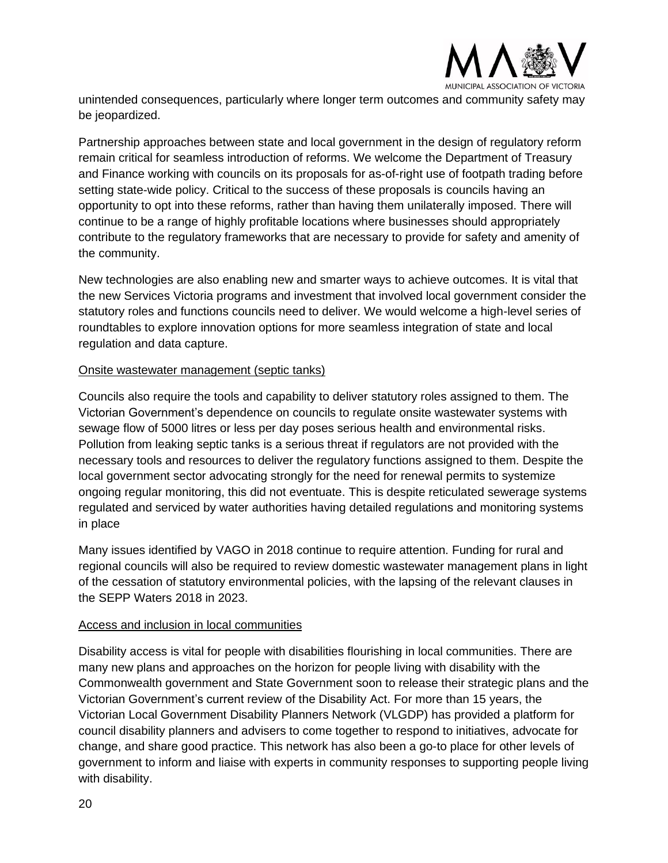

unintended consequences, particularly where longer term outcomes and community safety may be jeopardized.

Partnership approaches between state and local government in the design of regulatory reform remain critical for seamless introduction of reforms. We welcome the Department of Treasury and Finance working with councils on its proposals for as-of-right use of footpath trading before setting state-wide policy. Critical to the success of these proposals is councils having an opportunity to opt into these reforms, rather than having them unilaterally imposed. There will continue to be a range of highly profitable locations where businesses should appropriately contribute to the regulatory frameworks that are necessary to provide for safety and amenity of the community.

New technologies are also enabling new and smarter ways to achieve outcomes. It is vital that the new Services Victoria programs and investment that involved local government consider the statutory roles and functions councils need to deliver. We would welcome a high-level series of roundtables to explore innovation options for more seamless integration of state and local regulation and data capture.

#### Onsite wastewater management (septic tanks)

Councils also require the tools and capability to deliver statutory roles assigned to them. The Victorian Government's dependence on councils to regulate onsite wastewater systems with sewage flow of 5000 litres or less per day poses serious health and environmental risks. Pollution from leaking septic tanks is a serious threat if regulators are not provided with the necessary tools and resources to deliver the regulatory functions assigned to them. Despite the local government sector advocating strongly for the need for renewal permits to systemize ongoing regular monitoring, this did not eventuate. This is despite reticulated sewerage systems regulated and serviced by water authorities having detailed regulations and monitoring systems in place

Many issues identified by VAGO in 2018 continue to require attention. Funding for rural and regional councils will also be required to review domestic wastewater management plans in light of the cessation of statutory environmental policies, with the lapsing of the relevant clauses in the SEPP Waters 2018 in 2023.

#### Access and inclusion in local communities

Disability access is vital for people with disabilities flourishing in local communities. There are many new plans and approaches on the horizon for people living with disability with the Commonwealth government and State Government soon to release their strategic plans and the Victorian Government's current review of the Disability Act. For more than 15 years, the Victorian Local Government Disability Planners Network (VLGDP) has provided a platform for council disability planners and advisers to come together to respond to initiatives, advocate for change, and share good practice. This network has also been a go-to place for other levels of government to inform and liaise with experts in community responses to supporting people living with disability.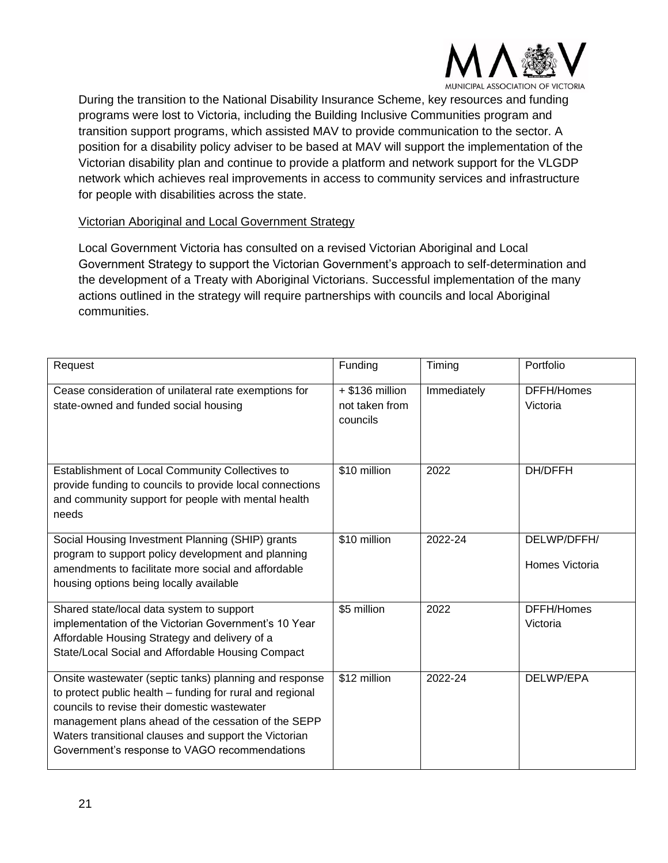

During the transition to the National Disability Insurance Scheme, key resources and funding programs were lost to Victoria, including the Building Inclusive Communities program and transition support programs, which assisted MAV to provide communication to the sector. A position for a disability policy adviser to be based at MAV will support the implementation of the Victorian disability plan and continue to provide a platform and network support for the VLGDP network which achieves real improvements in access to community services and infrastructure for people with disabilities across the state.

#### Victorian Aboriginal and Local Government Strategy

Local Government Victoria has consulted on a revised Victorian Aboriginal and Local Government Strategy to support the Victorian Government's approach to self-determination and the development of a Treaty with Aboriginal Victorians. Successful implementation of the many actions outlined in the strategy will require partnerships with councils and local Aboriginal communities.

| Request                                                                                                                                                                                                                                                                                                                              | Funding                                         | Timing      | Portfolio                     |
|--------------------------------------------------------------------------------------------------------------------------------------------------------------------------------------------------------------------------------------------------------------------------------------------------------------------------------------|-------------------------------------------------|-------------|-------------------------------|
| Cease consideration of unilateral rate exemptions for<br>state-owned and funded social housing                                                                                                                                                                                                                                       | $+$ \$136 million<br>not taken from<br>councils | Immediately | DFFH/Homes<br>Victoria        |
| Establishment of Local Community Collectives to<br>provide funding to councils to provide local connections<br>and community support for people with mental health<br>needs                                                                                                                                                          | \$10 million                                    | 2022        | DH/DFFH                       |
| Social Housing Investment Planning (SHIP) grants<br>program to support policy development and planning<br>amendments to facilitate more social and affordable<br>housing options being locally available                                                                                                                             | \$10 million                                    | 2022-24     | DELWP/DFFH/<br>Homes Victoria |
| Shared state/local data system to support<br>implementation of the Victorian Government's 10 Year<br>Affordable Housing Strategy and delivery of a<br>State/Local Social and Affordable Housing Compact                                                                                                                              | \$5 million                                     | 2022        | DFFH/Homes<br>Victoria        |
| Onsite wastewater (septic tanks) planning and response<br>to protect public health - funding for rural and regional<br>councils to revise their domestic wastewater<br>management plans ahead of the cessation of the SEPP<br>Waters transitional clauses and support the Victorian<br>Government's response to VAGO recommendations | \$12 million                                    | 2022-24     | DELWP/EPA                     |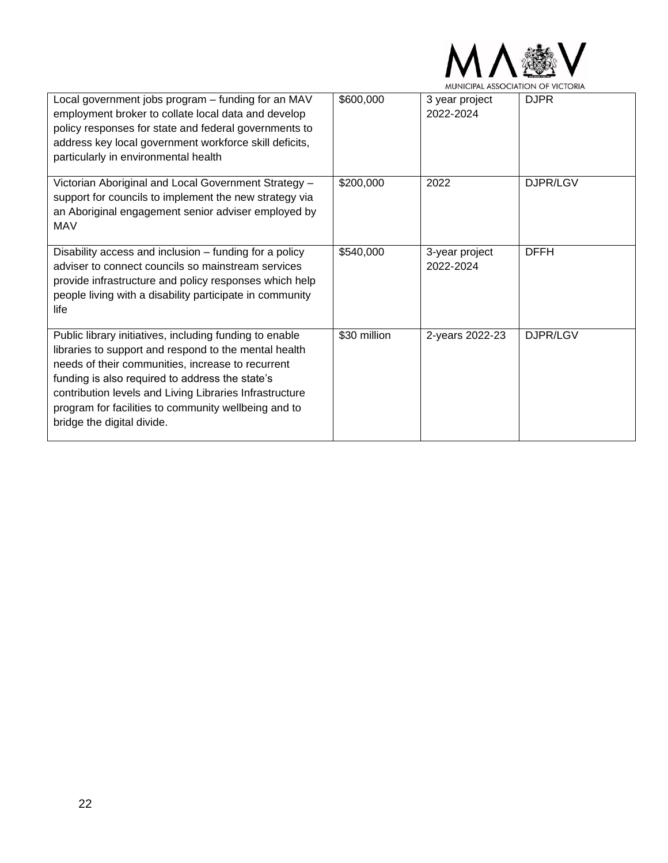

| Local government jobs program - funding for an MAV<br>employment broker to collate local data and develop<br>policy responses for state and federal governments to<br>address key local government workforce skill deficits,<br>particularly in environmental health                                                                                                      | \$600,000    | 3 year project<br>2022-2024 | <b>DJPR</b> |
|---------------------------------------------------------------------------------------------------------------------------------------------------------------------------------------------------------------------------------------------------------------------------------------------------------------------------------------------------------------------------|--------------|-----------------------------|-------------|
| Victorian Aboriginal and Local Government Strategy -<br>support for councils to implement the new strategy via<br>an Aboriginal engagement senior adviser employed by<br><b>MAV</b>                                                                                                                                                                                       | \$200,000    | 2022                        | DJPR/LGV    |
| Disability access and inclusion – funding for a policy<br>adviser to connect councils so mainstream services<br>provide infrastructure and policy responses which help<br>people living with a disability participate in community<br>life                                                                                                                                | \$540,000    | 3-year project<br>2022-2024 | <b>DFFH</b> |
| Public library initiatives, including funding to enable<br>libraries to support and respond to the mental health<br>needs of their communities, increase to recurrent<br>funding is also required to address the state's<br>contribution levels and Living Libraries Infrastructure<br>program for facilities to community wellbeing and to<br>bridge the digital divide. | \$30 million | 2-years 2022-23             | DJPR/LGV    |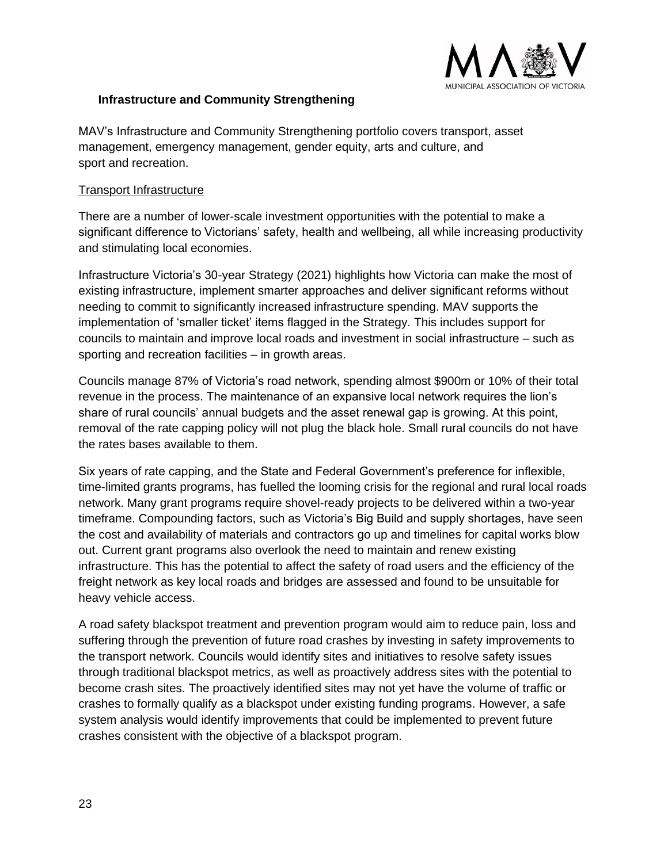

#### <span id="page-22-0"></span>**Infrastructure and Community Strengthening**

MAV's Infrastructure and Community Strengthening portfolio covers transport, asset management, emergency management, gender equity, arts and culture, and sport and recreation.

#### Transport Infrastructure

There are a number of lower-scale investment opportunities with the potential to make a significant difference to Victorians' safety, health and wellbeing, all while increasing productivity and stimulating local economies.

Infrastructure Victoria's 30-year Strategy (2021) highlights how Victoria can make the most of existing infrastructure, implement smarter approaches and deliver significant reforms without needing to commit to significantly increased infrastructure spending. MAV supports the implementation of 'smaller ticket' items flagged in the Strategy. This includes support for councils to maintain and improve local roads and investment in social infrastructure – such as sporting and recreation facilities – in growth areas.

Councils manage 87% of Victoria's road network, spending almost \$900m or 10% of their total revenue in the process. The maintenance of an expansive local network requires the lion's share of rural councils' annual budgets and the asset renewal gap is growing. At this point, removal of the rate capping policy will not plug the black hole. Small rural councils do not have the rates bases available to them.

Six years of rate capping, and the State and Federal Government's preference for inflexible, time-limited grants programs, has fuelled the looming crisis for the regional and rural local roads network. Many grant programs require shovel-ready projects to be delivered within a two-year timeframe. Compounding factors, such as Victoria's Big Build and supply shortages, have seen the cost and availability of materials and contractors go up and timelines for capital works blow out. Current grant programs also overlook the need to maintain and renew existing infrastructure. This has the potential to affect the safety of road users and the efficiency of the freight network as key local roads and bridges are assessed and found to be unsuitable for heavy vehicle access.

A road safety blackspot treatment and prevention program would aim to reduce pain, loss and suffering through the prevention of future road crashes by investing in safety improvements to the transport network. Councils would identify sites and initiatives to resolve safety issues through traditional blackspot metrics, as well as proactively address sites with the potential to become crash sites. The proactively identified sites may not yet have the volume of traffic or crashes to formally qualify as a blackspot under existing funding programs. However, a safe system analysis would identify improvements that could be implemented to prevent future crashes consistent with the objective of a blackspot program.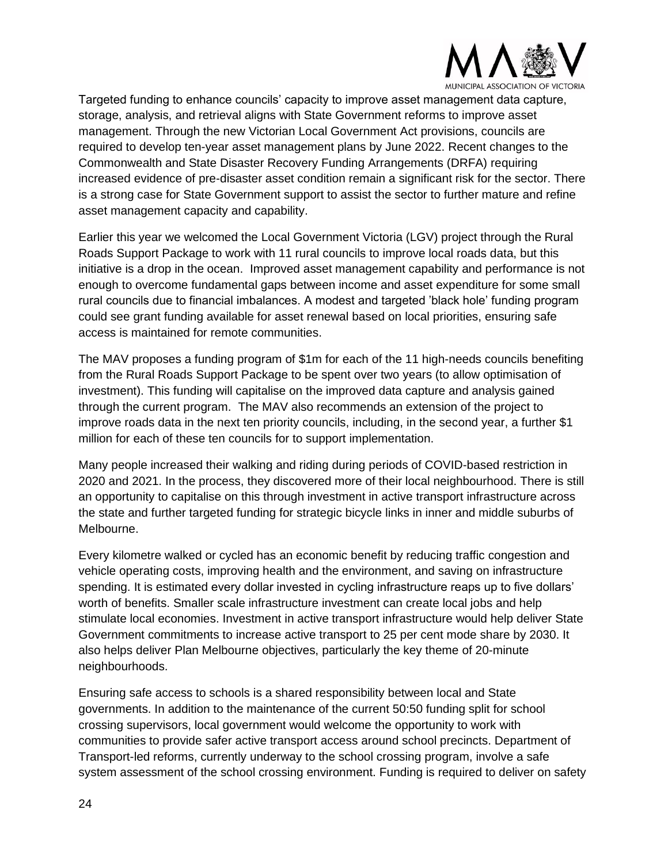

Targeted funding to enhance councils' capacity to improve asset management data capture, storage, analysis, and retrieval aligns with State Government reforms to improve asset management. Through the new Victorian Local Government Act provisions, councils are required to develop ten-year asset management plans by June 2022. Recent changes to the Commonwealth and State Disaster Recovery Funding Arrangements (DRFA) requiring increased evidence of pre-disaster asset condition remain a significant risk for the sector. There is a strong case for State Government support to assist the sector to further mature and refine asset management capacity and capability.

Earlier this year we welcomed the Local Government Victoria (LGV) project through the Rural Roads Support Package to work with 11 rural councils to improve local roads data, but this initiative is a drop in the ocean. Improved asset management capability and performance is not enough to overcome fundamental gaps between income and asset expenditure for some small rural councils due to financial imbalances. A modest and targeted 'black hole' funding program could see grant funding available for asset renewal based on local priorities, ensuring safe access is maintained for remote communities.

The MAV proposes a funding program of \$1m for each of the 11 high-needs councils benefiting from the Rural Roads Support Package to be spent over two years (to allow optimisation of investment). This funding will capitalise on the improved data capture and analysis gained through the current program. The MAV also recommends an extension of the project to improve roads data in the next ten priority councils, including, in the second year, a further \$1 million for each of these ten councils for to support implementation.

Many people increased their walking and riding during periods of COVID-based restriction in 2020 and 2021. In the process, they discovered more of their local neighbourhood. There is still an opportunity to capitalise on this through investment in active transport infrastructure across the state and further targeted funding for strategic bicycle links in inner and middle suburbs of Melbourne.

Every kilometre walked or cycled has an economic benefit by reducing traffic congestion and vehicle operating costs, improving health and the environment, and saving on infrastructure spending. It is estimated every dollar invested in cycling infrastructure reaps up to five dollars' worth of benefits. Smaller scale infrastructure investment can create local jobs and help stimulate local economies. Investment in active transport infrastructure would help deliver State Government commitments to increase active transport to 25 per cent mode share by 2030. It also helps deliver Plan Melbourne objectives, particularly the key theme of 20-minute neighbourhoods.

Ensuring safe access to schools is a shared responsibility between local and State governments. In addition to the maintenance of the current 50:50 funding split for school crossing supervisors, local government would welcome the opportunity to work with communities to provide safer active transport access around school precincts. Department of Transport-led reforms, currently underway to the school crossing program, involve a safe system assessment of the school crossing environment. Funding is required to deliver on safety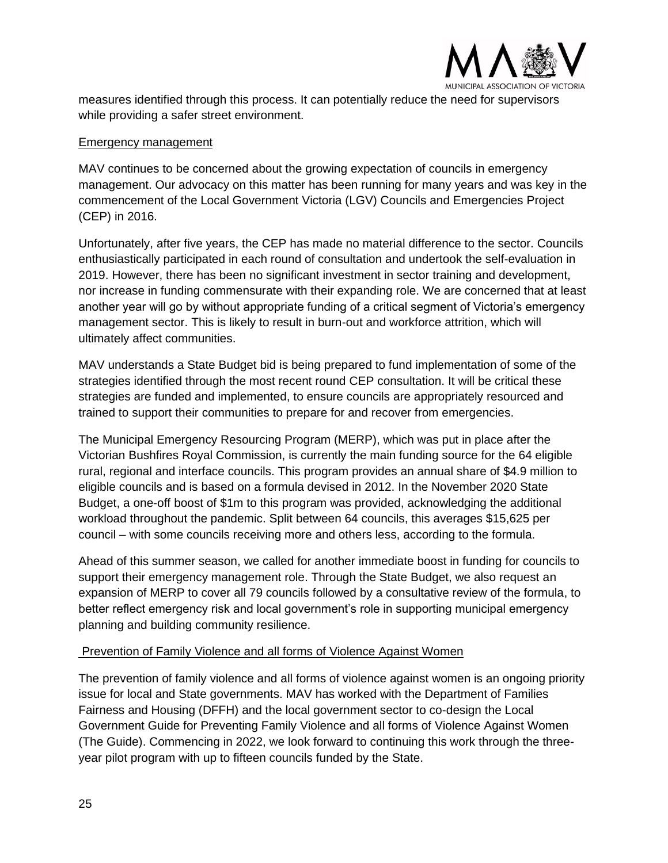

measures identified through this process. It can potentially reduce the need for supervisors while providing a safer street environment.

#### Emergency management

MAV continues to be concerned about the growing expectation of councils in emergency management. Our advocacy on this matter has been running for many years and was key in the commencement of the Local Government Victoria (LGV) Councils and Emergencies Project (CEP) in 2016.

Unfortunately, after five years, the CEP has made no material difference to the sector. Councils enthusiastically participated in each round of consultation and undertook the self-evaluation in 2019. However, there has been no significant investment in sector training and development, nor increase in funding commensurate with their expanding role. We are concerned that at least another year will go by without appropriate funding of a critical segment of Victoria's emergency management sector. This is likely to result in burn-out and workforce attrition, which will ultimately affect communities.

MAV understands a State Budget bid is being prepared to fund implementation of some of the strategies identified through the most recent round CEP consultation. It will be critical these strategies are funded and implemented, to ensure councils are appropriately resourced and trained to support their communities to prepare for and recover from emergencies.

The Municipal Emergency Resourcing Program (MERP), which was put in place after the Victorian Bushfires Royal Commission, is currently the main funding source for the 64 eligible rural, regional and interface councils. This program provides an annual share of \$4.9 million to eligible councils and is based on a formula devised in 2012. In the November 2020 State Budget, a one-off boost of \$1m to this program was provided, acknowledging the additional workload throughout the pandemic. Split between 64 councils, this averages \$15,625 per council – with some councils receiving more and others less, according to the formula.

Ahead of this summer season, we called for another immediate boost in funding for councils to support their emergency management role. Through the State Budget, we also request an expansion of MERP to cover all 79 councils followed by a consultative review of the formula, to better reflect emergency risk and local government's role in supporting municipal emergency planning and building community resilience.

#### Prevention of Family Violence and all forms of Violence Against Women

The prevention of family violence and all forms of violence against women is an ongoing priority issue for local and State governments. MAV has worked with the Department of Families Fairness and Housing (DFFH) and the local government sector to co-design the Local Government Guide for Preventing Family Violence and all forms of Violence Against Women (The Guide). Commencing in 2022, we look forward to continuing this work through the threeyear pilot program with up to fifteen councils funded by the State.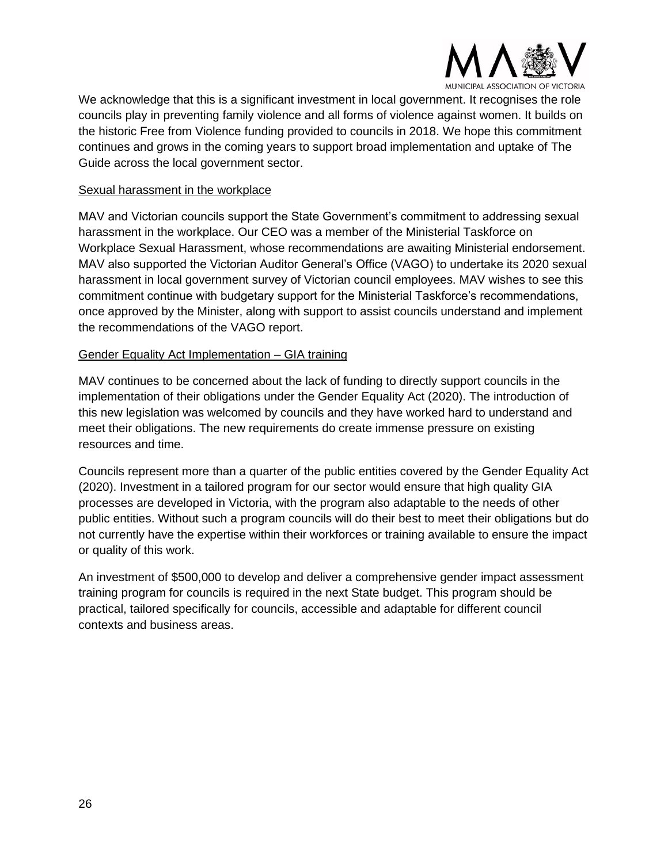

We acknowledge that this is a significant investment in local government. It recognises the role councils play in preventing family violence and all forms of violence against women. It builds on the historic Free from Violence funding provided to councils in 2018. We hope this commitment continues and grows in the coming years to support broad implementation and uptake of The Guide across the local government sector.

#### Sexual harassment in the workplace

MAV and Victorian councils support the State Government's commitment to addressing sexual harassment in the workplace. Our CEO was a member of the Ministerial Taskforce on Workplace Sexual Harassment, whose recommendations are awaiting Ministerial endorsement. MAV also supported the Victorian Auditor General's Office (VAGO) to undertake its 2020 sexual harassment in local government survey of Victorian council employees. MAV wishes to see this commitment continue with budgetary support for the Ministerial Taskforce's recommendations, once approved by the Minister, along with support to assist councils understand and implement the recommendations of the VAGO report.

#### Gender Equality Act Implementation – GIA training

MAV continues to be concerned about the lack of funding to directly support councils in the implementation of their obligations under the Gender Equality Act (2020). The introduction of this new legislation was welcomed by councils and they have worked hard to understand and meet their obligations. The new requirements do create immense pressure on existing resources and time.

Councils represent more than a quarter of the public entities covered by the Gender Equality Act (2020). Investment in a tailored program for our sector would ensure that high quality GIA processes are developed in Victoria, with the program also adaptable to the needs of other public entities. Without such a program councils will do their best to meet their obligations but do not currently have the expertise within their workforces or training available to ensure the impact or quality of this work.

An investment of \$500,000 to develop and deliver a comprehensive gender impact assessment training program for councils is required in the next State budget. This program should be practical, tailored specifically for councils, accessible and adaptable for different council contexts and business areas.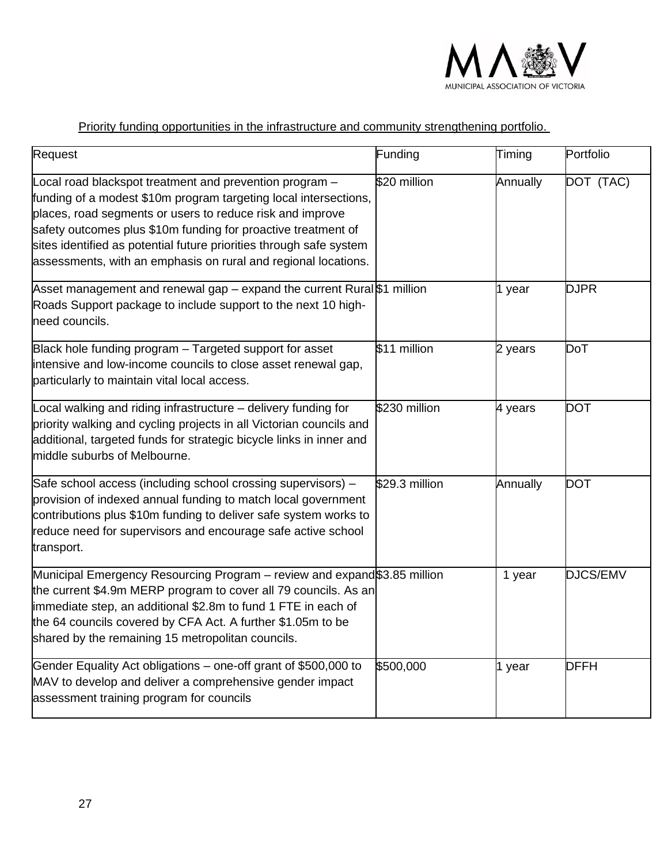

### Priority funding opportunities in the infrastructure and community strengthening portfolio.

| Request                                                                                                                                                                                                                                                                                                                                                                                            | Funding        | Timing   | Portfolio   |
|----------------------------------------------------------------------------------------------------------------------------------------------------------------------------------------------------------------------------------------------------------------------------------------------------------------------------------------------------------------------------------------------------|----------------|----------|-------------|
| Local road blackspot treatment and prevention program -<br>funding of a modest \$10m program targeting local intersections,<br>places, road segments or users to reduce risk and improve<br>safety outcomes plus \$10m funding for proactive treatment of<br>sites identified as potential future priorities through safe system<br>assessments, with an emphasis on rural and regional locations. | \$20 million   | Annually | DOT (TAC)   |
| Asset management and renewal gap – expand the current Rural\$1 million<br>Roads Support package to include support to the next 10 high-<br>need councils.                                                                                                                                                                                                                                          |                | 1 year   | <b>DJPR</b> |
| Black hole funding program - Targeted support for asset<br>intensive and low-income councils to close asset renewal gap,<br>particularly to maintain vital local access.                                                                                                                                                                                                                           | \$11 million   | 2 years  | DoT         |
| Local walking and riding infrastructure - delivery funding for<br>priority walking and cycling projects in all Victorian councils and<br>additional, targeted funds for strategic bicycle links in inner and<br>middle suburbs of Melbourne.                                                                                                                                                       | \$230 million  | 4 years  | <b>DOT</b>  |
| Safe school access (including school crossing supervisors) -<br>provision of indexed annual funding to match local government<br>contributions plus \$10m funding to deliver safe system works to<br>reduce need for supervisors and encourage safe active school<br>transport.                                                                                                                    | \$29.3 million | Annually | <b>DOT</b>  |
| Municipal Emergency Resourcing Program - review and expand\$3.85 million<br>the current \$4.9m MERP program to cover all 79 councils. As an<br>immediate step, an additional \$2.8m to fund 1 FTE in each of<br>the 64 councils covered by CFA Act. A further \$1.05m to be<br>shared by the remaining 15 metropolitan councils.                                                                   |                | 1 year   | DJCS/EMV    |
| Gender Equality Act obligations - one-off grant of \$500,000 to<br>MAV to develop and deliver a comprehensive gender impact<br>assessment training program for councils                                                                                                                                                                                                                            | \$500,000      | 1 year   | <b>DFFH</b> |